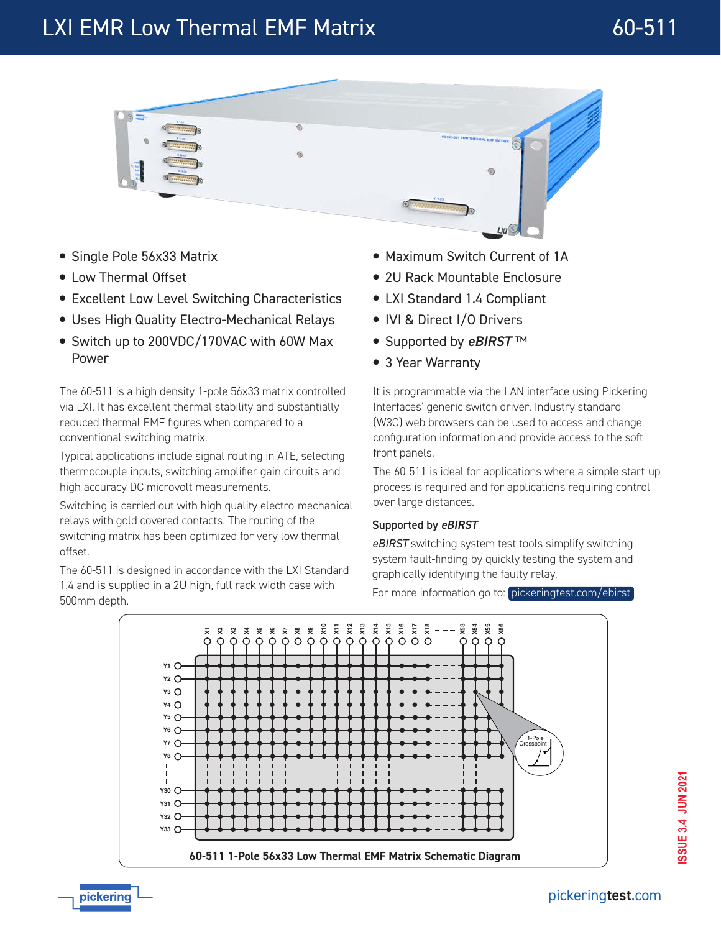# LXI EMR Low Thermal EMF Matrix **60-511**



- Single Pole 56x33 Matrix
- Low Thermal Offset
- **Excellent Low Level Switching Characteristics**
- Uses High Quality Electro-Mechanical Relays
- Switch up to 200VDC/170VAC with 60W Max Power

The 60-511 is a high density 1-pole 56x33 matrix controlled via LXI. It has excellent thermal stability and substantially reduced thermal EMF figures when compared to a conventional switching matrix.

Typical applications include signal routing in ATE, selecting thermocouple inputs, switching amplifier gain circuits and high accuracy DC microvolt measurements.

Switching is carried out with high quality electro-mechanical relays with gold covered contacts. The routing of the switching matrix has been optimized for very low thermal offset.

The 60-511 is designed in accordance with the LXI Standard 1.4 and is supplied in a 2U high, full rack width case with 500mm depth.

- Maximum Switch Current of 1A
- 2U Rack Mountable Enclosure
- LXI Standard 1.4 Compliant
- IVI & Direct I/O Drivers
- Supported by *eBIRST* ™
- 3 Year Warranty

It is programmable via the LAN interface using Pickering Interfaces' generic switch driver. Industry standard (W3C) web browsers can be used to access and change configuration information and provide access to the soft front panels.

The 60-511 is ideal for applications where a simple start-up process is required and for applications requiring control over large distances.

#### Supported by eBIRST

*eBIRST* switching system test tools simplify switching system fault-finding by quickly testing the system and graphically identifying the faulty relay.

For more information go to: [pickeringtest.com/ebirst](http://www.pickeringtest.com/ebirst)

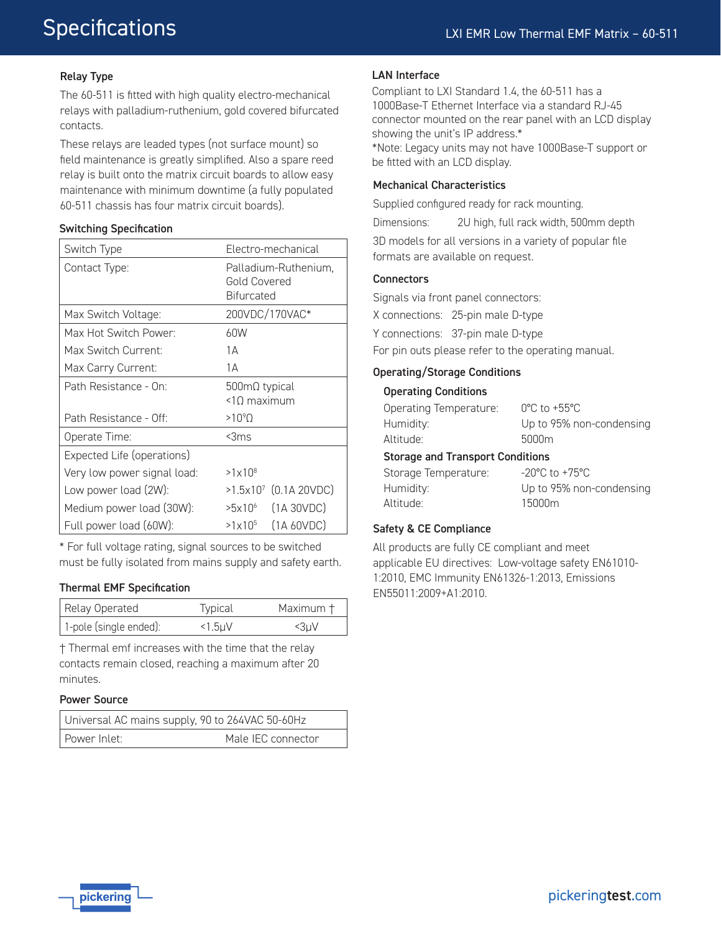### Relay Type

The 60-511 is fitted with high quality electro-mechanical relays with palladium-ruthenium, gold covered bifurcated contacts.

These relays are leaded types (not surface mount) so field maintenance is greatly simplified. Also a spare reed relay is built onto the matrix circuit boards to allow easy maintenance with minimum downtime (a fully populated 60-511 chassis has four matrix circuit boards).

#### Switching Specification

| Switch Type                        | Electro-mechanical                                        |  |
|------------------------------------|-----------------------------------------------------------|--|
| Contact Type:                      | Palladium-Ruthenium.<br>Gold Covered<br><b>Bifurcated</b> |  |
| Max Switch Voltage:                | 200VDC/170VAC*                                            |  |
| Max Hot Switch Power:              | 60W                                                       |  |
| Max Switch Current:                | 1А                                                        |  |
| Max Carry Current:                 | 1A                                                        |  |
| Path Resistance - On:              | $500 \text{m}\Omega$ typical<br>$<$ 10 maximum            |  |
| Path Resistance - Off <sup>.</sup> | $>10^{9}$ $\Omega$                                        |  |
| Operate Time:                      | $<$ 3 $ms$                                                |  |
| Expected Life (operations)         |                                                           |  |
| Very low power signal load:        | $>1\times10^{8}$                                          |  |
| Low power load (2W):               | $>1.5\times10^{7}$ (0.1A 20VDC)                           |  |
| Medium power load (30W):           | (1A 30VDC)<br>>5x10 <sup>6</sup>                          |  |
| Full power load (60W):             | (1A 60VDC)<br>$>1\times10^{5}$                            |  |

\* For full voltage rating, signal sources to be switched must be fully isolated from mains supply and safety earth.

#### Thermal EMF Specification

| Relay Operated         | Typical    | Maximum † |
|------------------------|------------|-----------|
| 1-pole (single ended): | $<1.5$ $U$ | <3µV      |

† Thermal emf increases with the time that the relay contacts remain closed, reaching a maximum after 20 minutes.

#### Power Source

| Universal AC mains supply, 90 to 264VAC 50-60Hz |                    |  |
|-------------------------------------------------|--------------------|--|
| l Power Inlet: I                                | Male IEC connector |  |

#### LAN Interface

Compliant to LXI Standard 1.4, the 60-511 has a 1000Base-T Ethernet Interface via a standard RJ-45 connector mounted on the rear panel with an LCD display showing the unit's IP address.\* \*Note: Legacy units may not have 1000Base-T support or be fitted with an LCD display.

#### Mechanical Characteristics

Supplied configured ready for rack mounting.

Dimensions: 2U high, full rack width, 500mm depth

3D models for all versions in a variety of popular file formats are available on request.

#### **Connectors**

Signals via front panel connectors:

X connections: 25-pin male D-type

Y connections: 37-pin male D-type

For pin outs please refer to the operating manual.

#### Operating/Storage Conditions

#### Operating Conditions

| Ctesses and Teansport Canditions |                                   |  |
|----------------------------------|-----------------------------------|--|
| Altitude:                        | 5000m                             |  |
| Humidity:                        | Up to 95% non-condensing          |  |
| Operating Temperature:           | $0^{\circ}$ C to +55 $^{\circ}$ C |  |
|                                  |                                   |  |

#### Storage and Transport Conditions

| Storage Temperature: | $-20^{\circ}$ C to $+75^{\circ}$ C |
|----------------------|------------------------------------|
| Humidity:            | Up to 95% non-condensing           |
| Altitude:            | 15000m                             |

#### Safety & CE Compliance

All products are fully CE compliant and meet applicable EU directives: Low-voltage safety EN61010- 1:2010, EMC Immunity EN61326-1:2013, Emissions EN55011:2009+A1:2010.

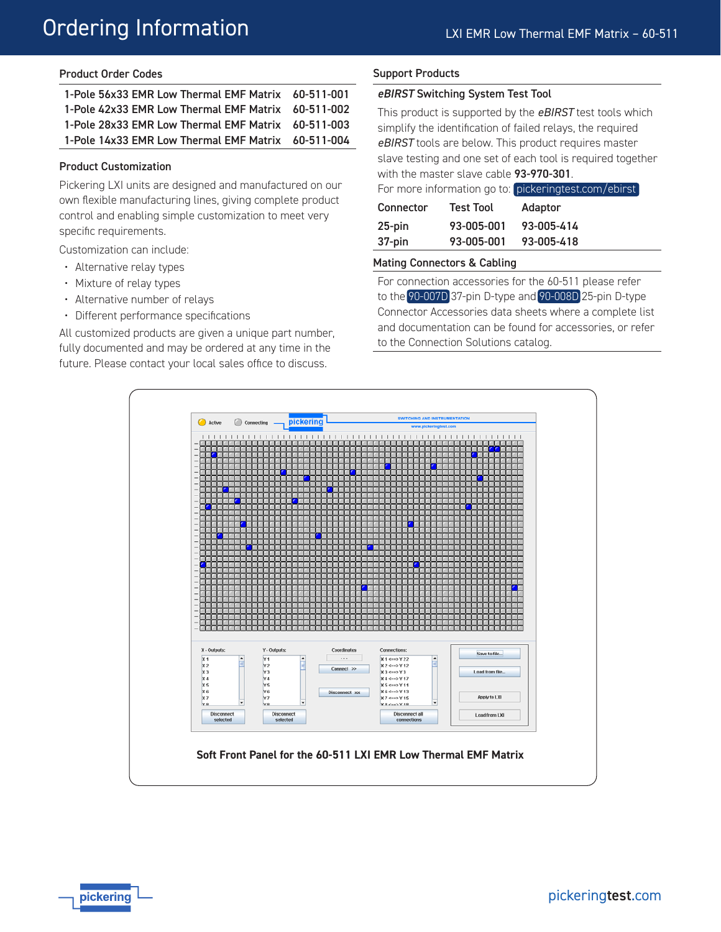# Ordering Information

#### Product Order Codes

| 1-Pole 56x33 EMR Low Thermal EMF Matrix 60-511-001 |  |
|----------------------------------------------------|--|
| 1-Pole 42x33 EMR Low Thermal EMF Matrix 60-511-002 |  |
| 1-Pole 28x33 EMR Low Thermal EMF Matrix 60-511-003 |  |
| 1-Pole 14x33 EMR Low Thermal EMF Matrix 60-511-004 |  |

#### Product Customization

Pickering LXI units are designed and manufactured on our own flexible manufacturing lines, giving complete product control and enabling simple customization to meet very specific requirements.

Customization can include:

- Alternative relay types
- Mixture of relay types
- Alternative number of relays
- Different performance specifications

All customized products are given a unique part number, fully documented and may be ordered at any time in the future. Please contact your local sales office to discuss.

#### Support Products

#### eBIRST Switching System Test Tool

This product is supported by the *eBIRST* test tools which simplify the identification of failed relays, the required *eBIRST* tools are below. This product requires master slave testing and one set of each tool is required together with the master slave cable 93-970-301. For more information go to: [pickeringtest.com/ebirst](http://www.pickeringtest.com/ebirst) Connector Test Tool Adaptor 25-pin 37-pin 93-005-001 93-005-001 93-005-414 93-005-418

#### Mating Connectors & Cabling

For connection accessories for the 60-511 please refer to the [90-007D](http://www.pickeringtest.com/content/downloads/datasheets/90-007D.pdf) 37-pin D-type and [90-008D](http://www.pickeringtest.com/content/downloads/datasheets/90-008D.pdf) 25-pin D-type Connector Accessories data sheets where a complete list and documentation can be found for accessories, or refer to the Connection Solutions catalog.



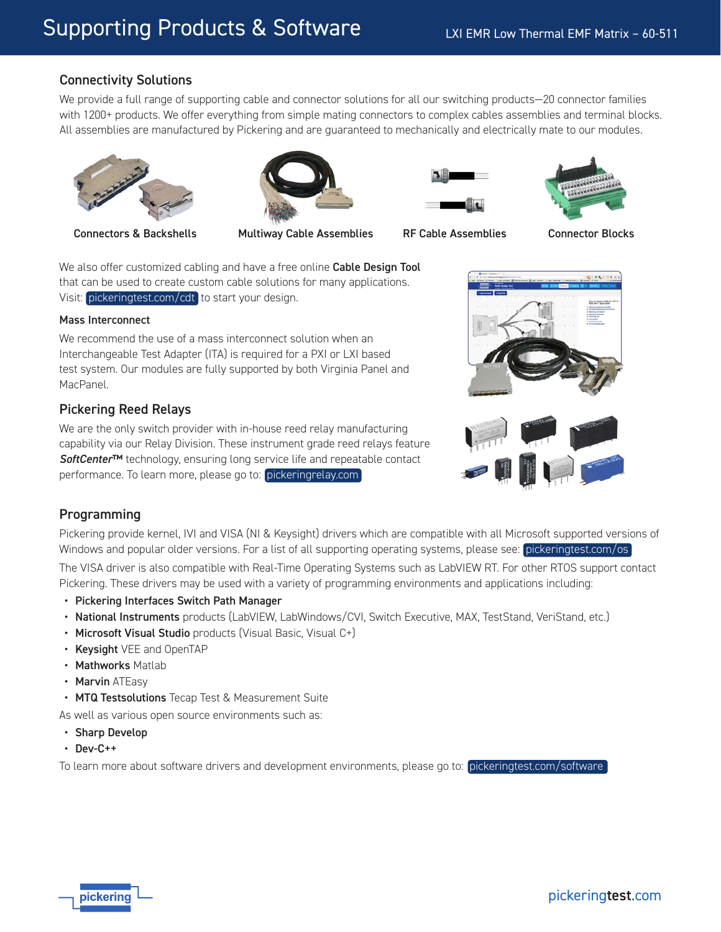## Connectivity Solutions

We provide a full range of supporting cable and connector solutions for all our switching products—20 connector families with 1200+ products. We offer everything from simple mating connectors to complex cables assemblies and terminal blocks. All assemblies are manufactured by Pickering and are guaranteed to mechanically and electrically mate to our modules.



Connectors & Backshells Multiway Cable Assemblies RF Cable Assemblies Connector Blocks







We also offer customized cabling and have a free online Cable Design Tool that can be used to create custom cable solutions for many applications. Visit: [pickeringtest.com/cdt](http://www.pickeringtest.com/cdt) to start your design.

#### Mass Interconnect

We recommend the use of a mass interconnect solution when an Interchangeable Test Adapter (ITA) is required for a PXI or LXI based test system. Our modules are fully supported by both Virginia Panel and MacPanel.

### Pickering Reed Relays

We are the only switch provider with in-house reed relay manufacturing capability via our Relay Division. These instrument grade reed relays feature *SoftCenter*™ technology, ensuring long service life and repeatable contact performance. To learn more, please go to: [pickeringrelay.com](http://www.pickeringrelay.com)





# Programming

Pickering provide kernel, IVI and VISA (NI & Keysight) drivers which are compatible with all Microsoft supported versions of Windows and popular older versions. For a list of all supporting operating systems, please see: [pickeringtest.com/os](http://pickeringtest.com/os)

The VISA driver is also compatible with Real-Time Operating Systems such as LabVIEW RT. For other RTOS support contact Pickering. These drivers may be used with a variety of programming environments and applications including:

- Pickering Interfaces Switch Path Manager
- National Instruments products (LabVIEW, LabWindows/CVI, Switch Executive, MAX, TestStand, VeriStand, etc.)
- Microsoft Visual Studio products (Visual Basic, Visual C+)
- Keysight VEE and OpenTAP
- Mathworks Matlab
- Marvin ATEasv

• MTQ Testsolutions Tecap Test & Measurement Suite

As well as various open source environments such as:

- Sharp Develop
- Dev-C++

To learn more about software drivers and development environments, please go to: [pickeringtest.com/software](http://www.pickeringtest.com/support/software-capabilities)